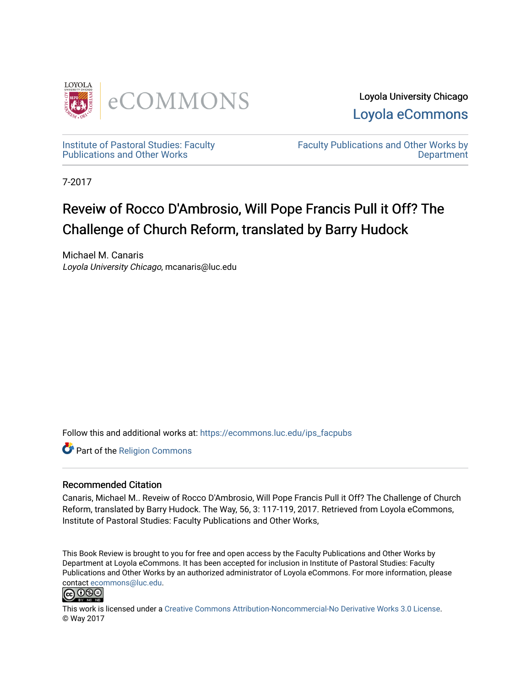

Loyola University Chicago [Loyola eCommons](https://ecommons.luc.edu/) 

[Institute of Pastoral Studies: Faculty](https://ecommons.luc.edu/ips_facpubs)  [Publications and Other Works](https://ecommons.luc.edu/ips_facpubs) 

[Faculty Publications and Other Works by](https://ecommons.luc.edu/faculty)  **Department** 

7-2017

# Reveiw of Rocco D'Ambrosio, Will Pope Francis Pull it Off? The Challenge of Church Reform, translated by Barry Hudock

Michael M. Canaris Loyola University Chicago, mcanaris@luc.edu

Follow this and additional works at: [https://ecommons.luc.edu/ips\\_facpubs](https://ecommons.luc.edu/ips_facpubs?utm_source=ecommons.luc.edu%2Fips_facpubs%2F51&utm_medium=PDF&utm_campaign=PDFCoverPages)

Part of the [Religion Commons](http://network.bepress.com/hgg/discipline/538?utm_source=ecommons.luc.edu%2Fips_facpubs%2F51&utm_medium=PDF&utm_campaign=PDFCoverPages)

## Recommended Citation

Canaris, Michael M.. Reveiw of Rocco D'Ambrosio, Will Pope Francis Pull it Off? The Challenge of Church Reform, translated by Barry Hudock. The Way, 56, 3: 117-119, 2017. Retrieved from Loyola eCommons, Institute of Pastoral Studies: Faculty Publications and Other Works,

This Book Review is brought to you for free and open access by the Faculty Publications and Other Works by Department at Loyola eCommons. It has been accepted for inclusion in Institute of Pastoral Studies: Faculty Publications and Other Works by an authorized administrator of Loyola eCommons. For more information, please contact [ecommons@luc.edu.](mailto:ecommons@luc.edu)



This work is licensed under a [Creative Commons Attribution-Noncommercial-No Derivative Works 3.0 License.](https://creativecommons.org/licenses/by-nc-nd/3.0/) © Way 2017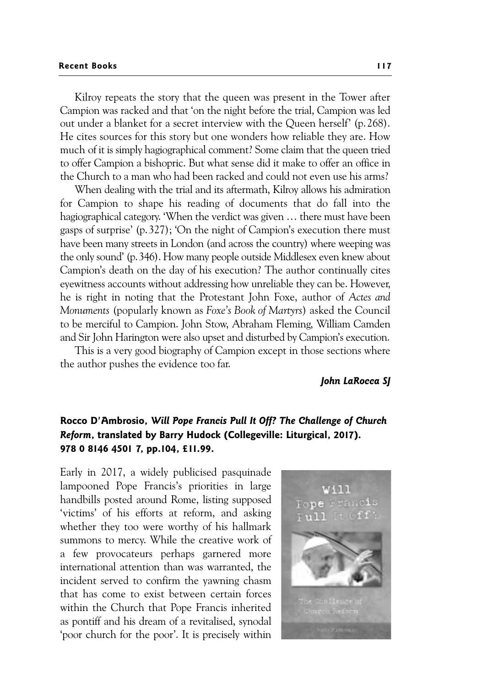#### **Recent Books** 117

Kilroy repeats the story that the queen was present in the Tower after Campion was racked and that 'on the night before the trial, Campion was led out under a blanket for a secret interview with the Queen herself' (p.268). He cites sources for this story but one wonders how reliable they are. How much of it is simply hagiographical comment? Some claim that the queen tried to offer Campion a bishopric. But what sense did it make to offer an office in the Church to a man who had been racked and could not even use his arms?

When dealing with the trial and its aftermath, Kilroy allows his admiration for Campion to shape his reading of documents that do fall into the hagiographical category. 'When the verdict was given … there must have been gasps of surprise' (p.327); 'On the night of Campion's execution there must have been many streets in London (and across the country) where weeping was the only sound' (p.346). How many people outside Middlesex even knew about Campion's death on the day of his execution? The author continually cites eyewitness accounts without addressing how unreliable they can be. However, he is right in noting that the Protestant John Foxe, author of *Actes and Monuments* (popularly known as *Foxe's Book of Martyrs*) asked the Council to be merciful to Campion. John Stow, Abraham Fleming, William Camden and Sir John Harington were also upset and disturbed by Campion's execution.

This is a very good biography of Campion except in those sections where the author pushes the evidence too far.

*John LaRocca SJ* 

# **Rocco D'Ambrosio,** *Will Pope Francis Pull It Off? The Challenge of Church Reform***, translated by Barry Hudock (Collegeville: Liturgical, 2017). 978 0 8146 4501 7, pp.104, £11.99.**

Early in 2017, a widely publicised pasquinade lampooned Pope Francis's priorities in large handbills posted around Rome, listing supposed 'victims' of his efforts at reform, and asking whether they too were worthy of his hallmark summons to mercy. While the creative work of a few provocateurs perhaps garnered more international attention than was warranted, the incident served to confirm the yawning chasm that has come to exist between certain forces within the Church that Pope Francis inherited as pontiff and his dream of a revitalised, synodal 'poor church for the poor'. It is precisely within

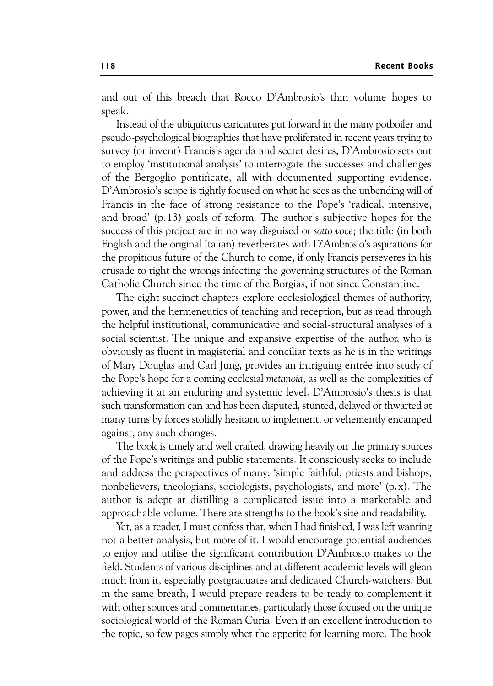and out of this breach that Rocco D'Ambrosio's thin volume hopes to speak.

Instead of the ubiquitous caricatures put forward in the many potboiler and pseudo-psychological biographies that have proliferated in recent years trying to survey (or invent) Francis's agenda and secret desires, D'Ambrosio sets out to employ 'institutional analysis' to interrogate the successes and challenges of the Bergoglio pontificate, all with documented supporting evidence. D'Ambrosio's scope is tightly focused on what he sees as the unbending will of Francis in the face of strong resistance to the Pope's 'radical, intensive, and broad' (p.13) goals of reform. The author's subjective hopes for the success of this project are in no way disguised or *sotto voce*; the title (in both English and the original Italian) reverberates with D'Ambrosio's aspirations for the propitious future of the Church to come, if only Francis perseveres in his crusade to right the wrongs infecting the governing structures of the Roman Catholic Church since the time of the Borgias, if not since Constantine.

The eight succinct chapters explore ecclesiological themes of authority, power, and the hermeneutics of teaching and reception, but as read through the helpful institutional, communicative and social-structural analyses of a social scientist. The unique and expansive expertise of the author, who is obviously as fluent in magisterial and conciliar texts as he is in the writings of Mary Douglas and Carl Jung, provides an intriguing entrée into study of the Pope's hope for a coming ecclesial *metanoia*, as well as the complexities of achieving it at an enduring and systemic level. D'Ambrosio's thesis is that such transformation can and has been disputed, stunted, delayed or thwarted at many turns by forces stolidly hesitant to implement, or vehemently encamped against, any such changes.

The book is timely and well crafted, drawing heavily on the primary sources of the Pope's writings and public statements. It consciously seeks to include and address the perspectives of many: 'simple faithful, priests and bishops, nonbelievers, theologians, sociologists, psychologists, and more' (p.x). The author is adept at distilling a complicated issue into a marketable and approachable volume. There are strengths to the book's size and readability.

Yet, as a reader, I must confess that, when I had finished, I was left wanting not a better analysis, but more of it. I would encourage potential audiences to enjoy and utilise the significant contribution D'Ambrosio makes to the field. Students of various disciplines and at different academic levels will glean much from it, especially postgraduates and dedicated Church-watchers. But in the same breath, I would prepare readers to be ready to complement it with other sources and commentaries, particularly those focused on the unique sociological world of the Roman Curia. Even if an excellent introduction to the topic, so few pages simply whet the appetite for learning more. The book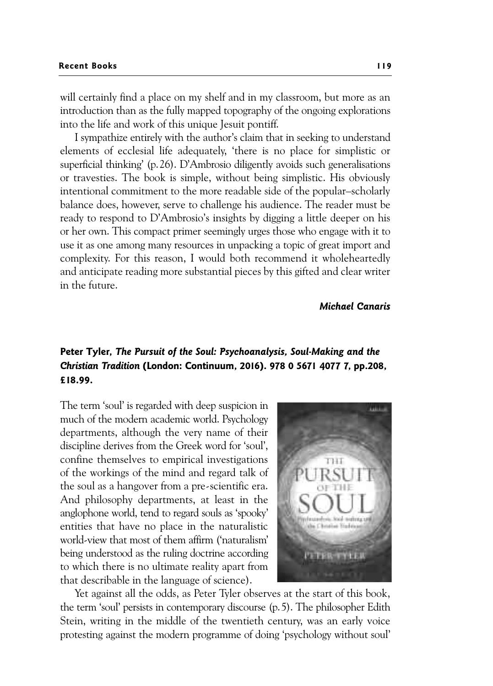will certainly find a place on my shelf and in my classroom, but more as an introduction than as the fully mapped topography of the ongoing explorations into the life and work of this unique Jesuit pontiff.

I sympathize entirely with the author's claim that in seeking to understand elements of ecclesial life adequately, 'there is no place for simplistic or superficial thinking' (p.26). D'Ambrosio diligently avoids such generalisations or travesties. The book is simple, without being simplistic. His obviously intentional commitment to the more readable side of the popular–scholarly balance does, however, serve to challenge his audience. The reader must be ready to respond to D'Ambrosio's insights by digging a little deeper on his or her own. This compact primer seemingly urges those who engage with it to use it as one among many resources in unpacking a topic of great import and complexity. For this reason, I would both recommend it wholeheartedly and anticipate reading more substantial pieces by this gifted and clear writer in the future.

*Michael Canaris* 

## **Peter Tyler,** *The Pursuit of the Soul: Psychoanalysis, Soul-Making and the Christian Tradition* **(London: Continuum, 2016). 978 0 5671 4077 7, pp.208, £18.99.**

The term 'soul' is regarded with deep suspicion in much of the modern academic world. Psychology departments, although the very name of their discipline derives from the Greek word for 'soul', confine themselves to empirical investigations of the workings of the mind and regard talk of the soul as a hangover from a pre-scientific era. And philosophy departments, at least in the anglophone world, tend to regard souls as 'spooky' entities that have no place in the naturalistic world-view that most of them affirm ('naturalism' being understood as the ruling doctrine according to which there is no ultimate reality apart from that describable in the language of science).



Yet against all the odds, as Peter Tyler observes at the start of this book, the term 'soul' persists in contemporary discourse (p.5). The philosopher Edith Stein, writing in the middle of the twentieth century, was an early voice protesting against the modern programme of doing 'psychology without soul'